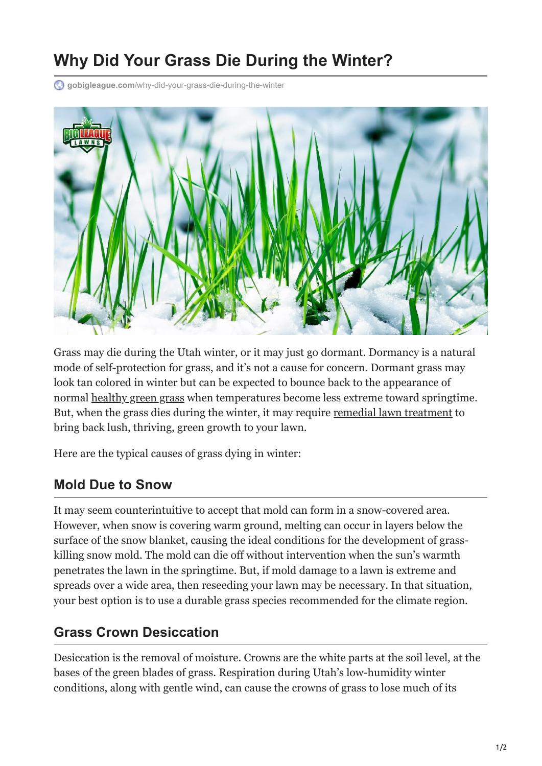# **Why Did Your Grass Die During the Winter?**

**gobigleague.com**[/why-did-your-grass-die-during-the-winter](https://gobigleague.com/why-did-your-grass-die-during-the-winter/)



Grass may die during the Utah winter, or it may just go dormant. Dormancy is a natural mode of self-protection for grass, and it's not a cause for concern. Dormant grass may look tan colored in winter but can be expected to bounce back to the appearance of normal [healthy green grass](https://gobigleague.com/big-league-lawn-care/) when temperatures become less extreme toward springtime. But, when the grass dies during the winter, it may require [remedial lawn treatment](https://gobigleague.com/residential-lawn-care-utah/) to bring back lush, thriving, green growth to your lawn.

Here are the typical causes of grass dying in winter:

#### **Mold Due to Snow**

It may seem counterintuitive to accept that mold can form in a snow-covered area. However, when snow is covering warm ground, melting can occur in layers below the surface of the snow blanket, causing the ideal conditions for the development of grasskilling snow mold. The mold can die off without intervention when the sun's warmth penetrates the lawn in the springtime. But, if mold damage to a lawn is extreme and spreads over a wide area, then reseeding your lawn may be necessary. In that situation, your best option is to use a durable grass species recommended for the climate region.

#### **Grass Crown Desiccation**

Desiccation is the removal of moisture. Crowns are the white parts at the soil level, at the bases of the green blades of grass. Respiration during Utah's low-humidity winter conditions, along with gentle wind, can cause the crowns of grass to lose much of its